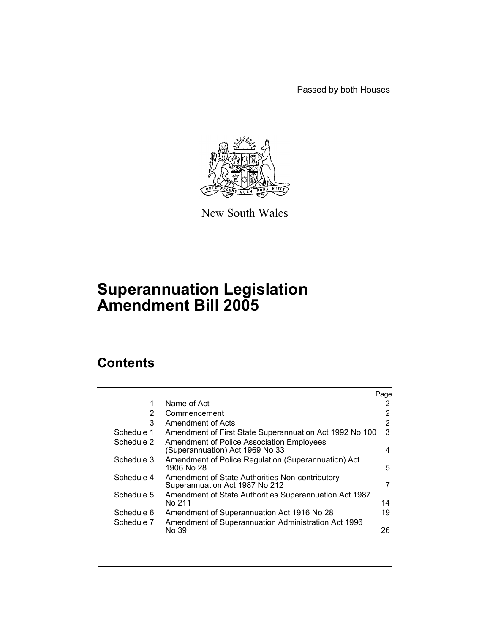Passed by both Houses



New South Wales

# **Superannuation Legislation Amendment Bill 2005**

# **Contents**

|            |                                                                                     | Page |
|------------|-------------------------------------------------------------------------------------|------|
| 1          | Name of Act                                                                         |      |
| 2          | Commencement                                                                        | 2    |
| 3          | Amendment of Acts                                                                   | 2    |
| Schedule 1 | Amendment of First State Superannuation Act 1992 No 100                             | 3    |
| Schedule 2 | <b>Amendment of Police Association Employees</b><br>(Superannuation) Act 1969 No 33 | 4    |
| Schedule 3 | Amendment of Police Regulation (Superannuation) Act<br>1906 No 28                   | 5    |
| Schedule 4 | Amendment of State Authorities Non-contributory<br>Superannuation Act 1987 No 212   | 7    |
| Schedule 5 | Amendment of State Authorities Superannuation Act 1987<br>No 211                    | 14   |
| Schedule 6 | Amendment of Superannuation Act 1916 No 28                                          | 19   |
| Schedule 7 | Amendment of Superannuation Administration Act 1996<br>No 39                        | 26   |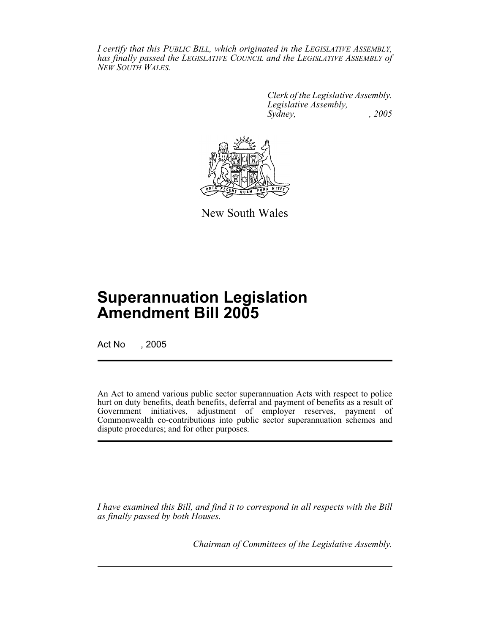*I certify that this PUBLIC BILL, which originated in the LEGISLATIVE ASSEMBLY, has finally passed the LEGISLATIVE COUNCIL and the LEGISLATIVE ASSEMBLY of NEW SOUTH WALES.*

> *Clerk of the Legislative Assembly. Legislative Assembly, Sydney, , 2005*



New South Wales

# **Superannuation Legislation Amendment Bill 2005**

Act No , 2005

An Act to amend various public sector superannuation Acts with respect to police hurt on duty benefits, death benefits, deferral and payment of benefits as a result of Government initiatives, adjustment of employer reserves, payment of Commonwealth co-contributions into public sector superannuation schemes and dispute procedures; and for other purposes.

*I have examined this Bill, and find it to correspond in all respects with the Bill as finally passed by both Houses.*

*Chairman of Committees of the Legislative Assembly.*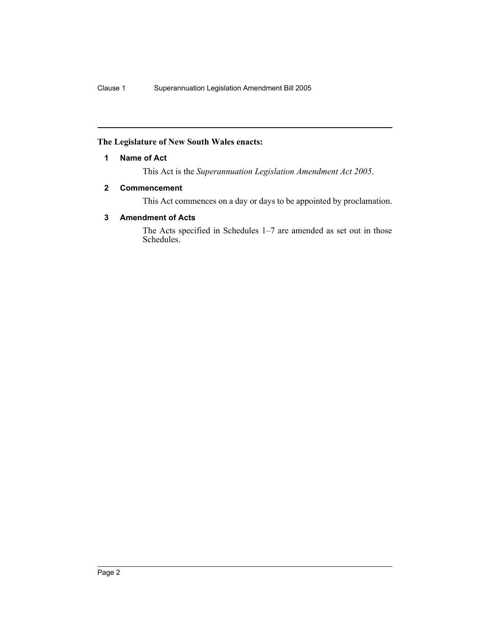## **The Legislature of New South Wales enacts:**

## **1 Name of Act**

This Act is the *Superannuation Legislation Amendment Act 2005*.

## **2 Commencement**

This Act commences on a day or days to be appointed by proclamation.

## **3 Amendment of Acts**

The Acts specified in Schedules 1–7 are amended as set out in those Schedules.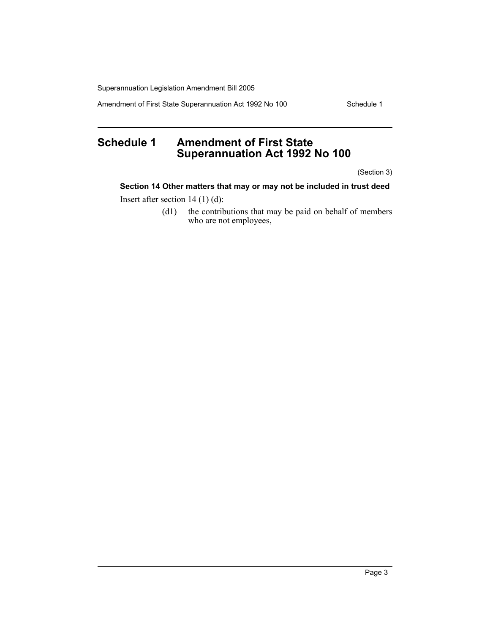Amendment of First State Superannuation Act 1992 No 100 Schedule 1

# **Schedule 1 Amendment of First State Superannuation Act 1992 No 100**

(Section 3)

**Section 14 Other matters that may or may not be included in trust deed**

Insert after section 14 (1) (d):

(d1) the contributions that may be paid on behalf of members who are not employees,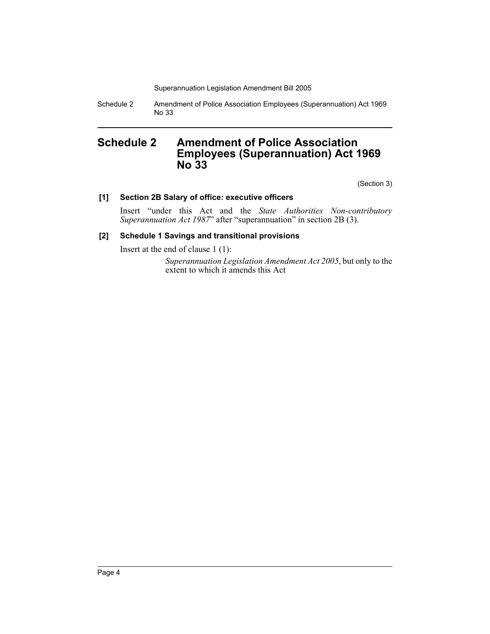Schedule 2 Amendment of Police Association Employees (Superannuation) Act 1969 No 33

# **Schedule 2 Amendment of Police Association Employees (Superannuation) Act 1969 No 33**

(Section 3)

## **[1] Section 2B Salary of office: executive officers**

Insert "under this Act and the *State Authorities Non-contributory Superannuation Act 1987*" after "superannuation" in section 2B (3).

## **[2] Schedule 1 Savings and transitional provisions**

Insert at the end of clause 1 (1):

*Superannuation Legislation Amendment Act 2005*, but only to the extent to which it amends this Act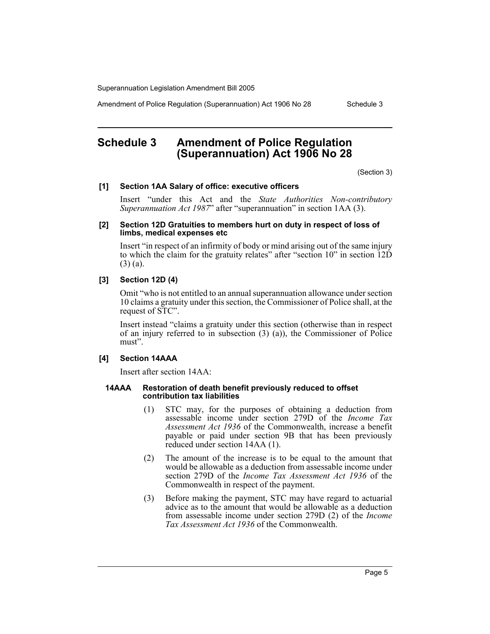Amendment of Police Regulation (Superannuation) Act 1906 No 28 Schedule 3

# **Schedule 3 Amendment of Police Regulation (Superannuation) Act 1906 No 28**

(Section 3)

#### **[1] Section 1AA Salary of office: executive officers**

Insert "under this Act and the *State Authorities Non-contributory Superannuation Act 1987*" after "superannuation" in section 1AA (3).

#### **[2] Section 12D Gratuities to members hurt on duty in respect of loss of limbs, medical expenses etc**

Insert "in respect of an infirmity of body or mind arising out of the same injury to which the claim for the gratuity relates" after "section 10" in section 12D (3) (a).

#### **[3] Section 12D (4)**

Omit "who is not entitled to an annual superannuation allowance under section 10 claims a gratuity under this section, the Commissioner of Police shall, at the request of STC".

Insert instead "claims a gratuity under this section (otherwise than in respect of an injury referred to in subsection (3) (a)), the Commissioner of Police must".

#### **[4] Section 14AAA**

Insert after section 14AA:

#### **14AAA Restoration of death benefit previously reduced to offset contribution tax liabilities**

- (1) STC may, for the purposes of obtaining a deduction from assessable income under section 279D of the *Income Tax Assessment Act 1936* of the Commonwealth, increase a benefit payable or paid under section 9B that has been previously reduced under section 14AA (1).
- (2) The amount of the increase is to be equal to the amount that would be allowable as a deduction from assessable income under section 279D of the *Income Tax Assessment Act 1936* of the Commonwealth in respect of the payment.
- (3) Before making the payment, STC may have regard to actuarial advice as to the amount that would be allowable as a deduction from assessable income under section 279D (2) of the *Income Tax Assessment Act 1936* of the Commonwealth.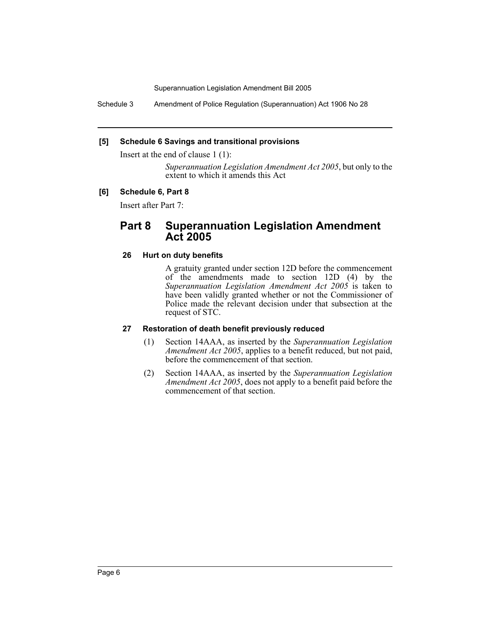Schedule 3 Amendment of Police Regulation (Superannuation) Act 1906 No 28

## **[5] Schedule 6 Savings and transitional provisions**

Insert at the end of clause 1 (1):

*Superannuation Legislation Amendment Act 2005*, but only to the extent to which it amends this Act

# **[6] Schedule 6, Part 8**

Insert after Part 7:

# **Part 8 Superannuation Legislation Amendment Act 2005**

## **26 Hurt on duty benefits**

A gratuity granted under section 12D before the commencement of the amendments made to section 12D (4) by the *Superannuation Legislation Amendment Act 2005* is taken to have been validly granted whether or not the Commissioner of Police made the relevant decision under that subsection at the request of STC.

#### **27 Restoration of death benefit previously reduced**

- (1) Section 14AAA, as inserted by the *Superannuation Legislation Amendment Act 2005*, applies to a benefit reduced, but not paid, before the commencement of that section.
- (2) Section 14AAA, as inserted by the *Superannuation Legislation Amendment Act 2005*, does not apply to a benefit paid before the commencement of that section.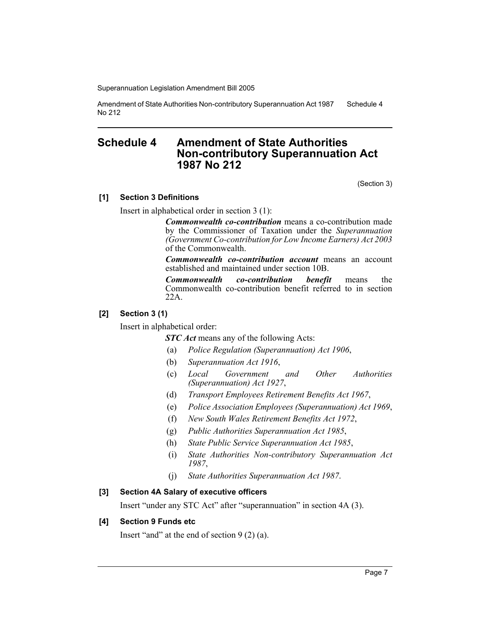Amendment of State Authorities Non-contributory Superannuation Act 1987 No 212 Schedule 4

# **Schedule 4 Amendment of State Authorities Non-contributory Superannuation Act 1987 No 212**

(Section 3)

## **[1] Section 3 Definitions**

Insert in alphabetical order in section 3 (1):

*Commonwealth co-contribution* means a co-contribution made by the Commissioner of Taxation under the *Superannuation (Government Co-contribution for Low Income Earners) Act 2003* of the Commonwealth.

*Commonwealth co-contribution account* means an account established and maintained under section 10B.

*Commonwealth co-contribution benefit* means the Commonwealth co-contribution benefit referred to in section 22A.

#### **[2] Section 3 (1)**

Insert in alphabetical order:

**STC Act** means any of the following Acts:

- (a) *Police Regulation (Superannuation) Act 1906*,
- (b) *Superannuation Act 1916*,
- (c) *Local Government and Other Authorities (Superannuation) Act 1927*,
- (d) *Transport Employees Retirement Benefits Act 1967*,
- (e) *Police Association Employees (Superannuation) Act 1969*,
- (f) *New South Wales Retirement Benefits Act 1972*,
- (g) *Public Authorities Superannuation Act 1985*,
- (h) *State Public Service Superannuation Act 1985*,
- (i) *State Authorities Non-contributory Superannuation Act 1987*,
- (j) *State Authorities Superannuation Act 1987*.

#### **[3] Section 4A Salary of executive officers**

Insert "under any STC Act" after "superannuation" in section 4A (3).

#### **[4] Section 9 Funds etc**

Insert "and" at the end of section 9 (2) (a).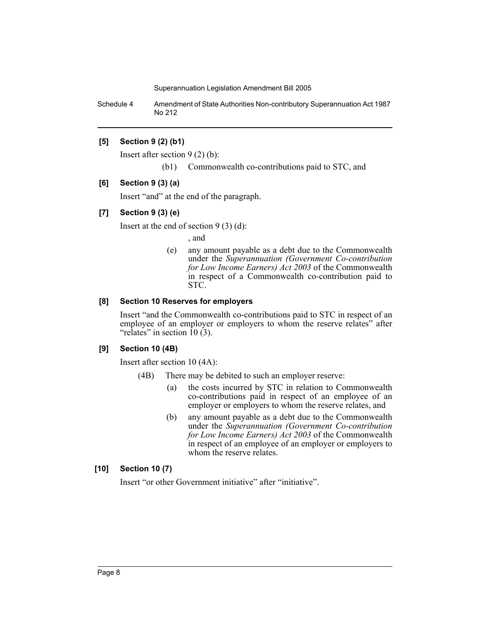Schedule 4 Amendment of State Authorities Non-contributory Superannuation Act 1987 No 212

## **[5] Section 9 (2) (b1)**

Insert after section 9 (2) (b):

(b1) Commonwealth co-contributions paid to STC, and

#### **[6] Section 9 (3) (a)**

Insert "and" at the end of the paragraph.

#### **[7] Section 9 (3) (e)**

Insert at the end of section  $9(3)(d)$ :

, and

(e) any amount payable as a debt due to the Commonwealth under the *Superannuation (Government Co-contribution for Low Income Earners) Act 2003* of the Commonwealth in respect of a Commonwealth co-contribution paid to STC.

## **[8] Section 10 Reserves for employers**

Insert "and the Commonwealth co-contributions paid to STC in respect of an employee of an employer or employers to whom the reserve relates" after "relates" in section  $\hat{10}(\hat{3})$ .

#### **[9] Section 10 (4B)**

Insert after section 10 (4A):

- (4B) There may be debited to such an employer reserve:
	- (a) the costs incurred by STC in relation to Commonwealth co-contributions paid in respect of an employee of an employer or employers to whom the reserve relates, and
	- (b) any amount payable as a debt due to the Commonwealth under the *Superannuation (Government Co-contribution for Low Income Earners) Act 2003* of the Commonwealth in respect of an employee of an employer or employers to whom the reserve relates.

#### **[10] Section 10 (7)**

Insert "or other Government initiative" after "initiative".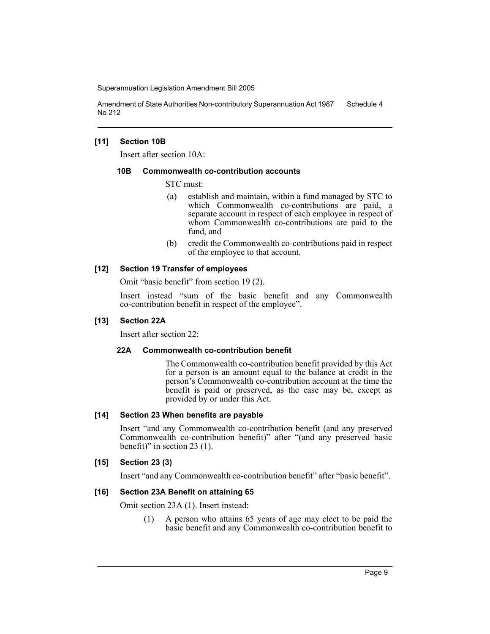Amendment of State Authorities Non-contributory Superannuation Act 1987 No 212 Schedule 4

#### **[11] Section 10B**

Insert after section 10A:

#### **10B Commonwealth co-contribution accounts**

STC must:

- (a) establish and maintain, within a fund managed by STC to which Commonwealth co-contributions are paid, a separate account in respect of each employee in respect of whom Commonwealth co-contributions are paid to the fund, and
- (b) credit the Commonwealth co-contributions paid in respect of the employee to that account.

#### **[12] Section 19 Transfer of employees**

Omit "basic benefit" from section 19 (2).

Insert instead "sum of the basic benefit and any Commonwealth co-contribution benefit in respect of the employee".

#### **[13] Section 22A**

Insert after section 22:

#### **22A Commonwealth co-contribution benefit**

The Commonwealth co-contribution benefit provided by this Act for a person is an amount equal to the balance at credit in the person's Commonwealth co-contribution account at the time the benefit is paid or preserved, as the case may be, except as provided by or under this Act.

#### **[14] Section 23 When benefits are payable**

Insert "and any Commonwealth co-contribution benefit (and any preserved Commonwealth co-contribution benefit)" after "(and any preserved basic benefit)" in section 23 (1).

#### **[15] Section 23 (3)**

Insert "and any Commonwealth co-contribution benefit" after "basic benefit".

#### **[16] Section 23A Benefit on attaining 65**

Omit section 23A (1). Insert instead:

(1) A person who attains 65 years of age may elect to be paid the basic benefit and any Commonwealth co-contribution benefit to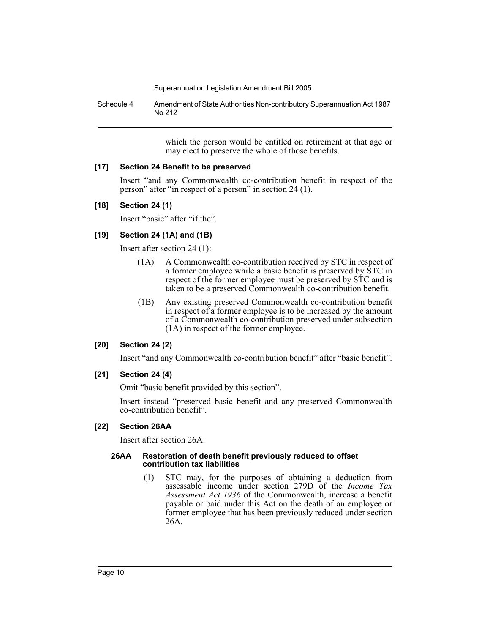Schedule 4 Amendment of State Authorities Non-contributory Superannuation Act 1987 No 212

> which the person would be entitled on retirement at that age or may elect to preserve the whole of those benefits.

# **[17] Section 24 Benefit to be preserved**

Insert "and any Commonwealth co-contribution benefit in respect of the person" after "in respect of a person" in section 24 (1).

# **[18] Section 24 (1)**

Insert "basic" after "if the".

# **[19] Section 24 (1A) and (1B)**

Insert after section 24 (1):

- (1A) A Commonwealth co-contribution received by STC in respect of a former employee while a basic benefit is preserved by STC in respect of the former employee must be preserved by STC and is taken to be a preserved Commonwealth co-contribution benefit.
- (1B) Any existing preserved Commonwealth co-contribution benefit in respect of a former employee is to be increased by the amount of a Commonwealth co-contribution preserved under subsection (1A) in respect of the former employee.

# **[20] Section 24 (2)**

Insert "and any Commonwealth co-contribution benefit" after "basic benefit".

# **[21] Section 24 (4)**

Omit "basic benefit provided by this section".

Insert instead "preserved basic benefit and any preserved Commonwealth co-contribution benefit".

# **[22] Section 26AA**

Insert after section 26A:

## **26AA Restoration of death benefit previously reduced to offset contribution tax liabilities**

(1) STC may, for the purposes of obtaining a deduction from assessable income under section 279D of the *Income Tax Assessment Act 1936* of the Commonwealth, increase a benefit payable or paid under this Act on the death of an employee or former employee that has been previously reduced under section 26A.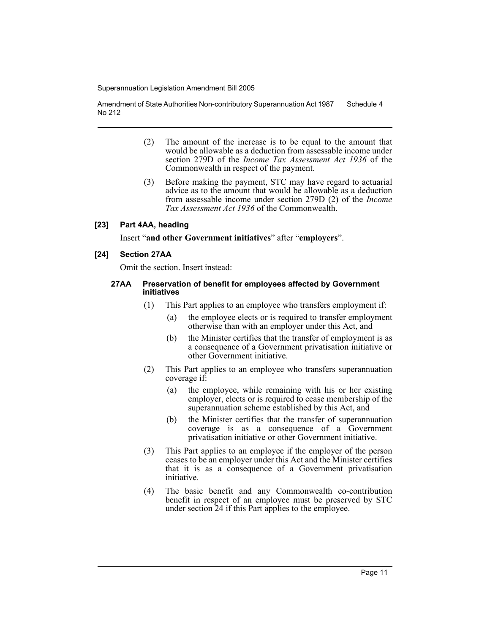Amendment of State Authorities Non-contributory Superannuation Act 1987 No 212 Schedule 4

- (2) The amount of the increase is to be equal to the amount that would be allowable as a deduction from assessable income under section 279D of the *Income Tax Assessment Act 1936* of the Commonwealth in respect of the payment.
- (3) Before making the payment, STC may have regard to actuarial advice as to the amount that would be allowable as a deduction from assessable income under section 279D (2) of the *Income Tax Assessment Act 1936* of the Commonwealth.

#### **[23] Part 4AA, heading**

Insert "**and other Government initiatives**" after "**employers**".

## **[24] Section 27AA**

Omit the section. Insert instead:

#### **27AA Preservation of benefit for employees affected by Government initiatives**

- (1) This Part applies to an employee who transfers employment if:
	- (a) the employee elects or is required to transfer employment otherwise than with an employer under this Act, and
	- (b) the Minister certifies that the transfer of employment is as a consequence of a Government privatisation initiative or other Government initiative.
- (2) This Part applies to an employee who transfers superannuation coverage if:
	- (a) the employee, while remaining with his or her existing employer, elects or is required to cease membership of the superannuation scheme established by this Act, and
	- (b) the Minister certifies that the transfer of superannuation coverage is as a consequence of a Government privatisation initiative or other Government initiative.
- (3) This Part applies to an employee if the employer of the person ceases to be an employer under this Act and the Minister certifies that it is as a consequence of a Government privatisation initiative.
- (4) The basic benefit and any Commonwealth co-contribution benefit in respect of an employee must be preserved by STC under section 24 if this Part applies to the employee.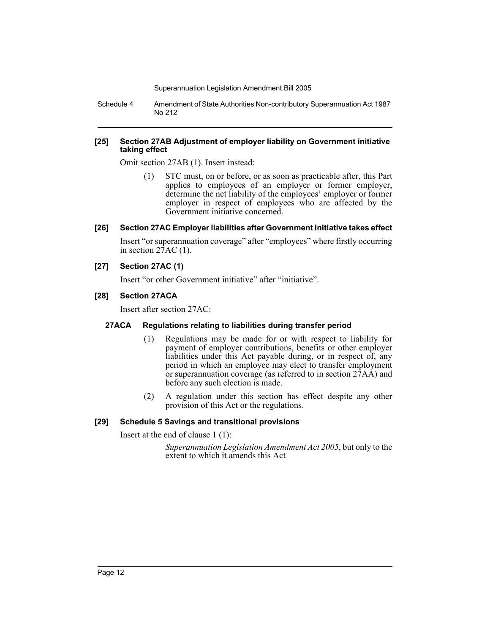Schedule 4 Amendment of State Authorities Non-contributory Superannuation Act 1987 No 212

#### **[25] Section 27AB Adjustment of employer liability on Government initiative taking effect**

Omit section 27AB (1). Insert instead:

(1) STC must, on or before, or as soon as practicable after, this Part applies to employees of an employer or former employer, determine the net liability of the employees' employer or former employer in respect of employees who are affected by the Government initiative concerned.

## **[26] Section 27AC Employer liabilities after Government initiative takes effect**

Insert "or superannuation coverage" after "employees" where firstly occurring in section  $27AC(1)$ .

# **[27] Section 27AC (1)**

Insert "or other Government initiative" after "initiative".

## **[28] Section 27ACA**

Insert after section 27AC:

# **27ACA Regulations relating to liabilities during transfer period**

- (1) Regulations may be made for or with respect to liability for payment of employer contributions, benefits or other employer liabilities under this Act payable during, or in respect of, any period in which an employee may elect to transfer employment or superannuation coverage (as referred to in section 27AA) and before any such election is made.
- (2) A regulation under this section has effect despite any other provision of this Act or the regulations.

# **[29] Schedule 5 Savings and transitional provisions**

Insert at the end of clause 1 (1):

*Superannuation Legislation Amendment Act 2005*, but only to the extent to which it amends this Act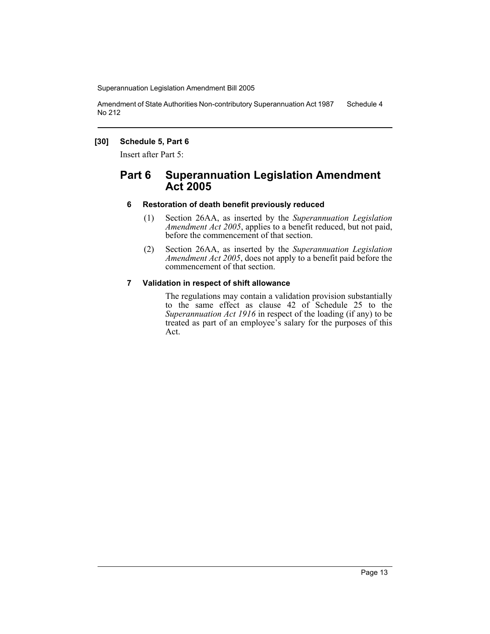Amendment of State Authorities Non-contributory Superannuation Act 1987 No 212 Schedule 4

#### **[30] Schedule 5, Part 6**

Insert after Part 5:

# **Part 6 Superannuation Legislation Amendment Act 2005**

## **6 Restoration of death benefit previously reduced**

- (1) Section 26AA, as inserted by the *Superannuation Legislation Amendment Act 2005*, applies to a benefit reduced, but not paid, before the commencement of that section.
- (2) Section 26AA, as inserted by the *Superannuation Legislation Amendment Act 2005*, does not apply to a benefit paid before the commencement of that section.

## **7 Validation in respect of shift allowance**

The regulations may contain a validation provision substantially to the same effect as clause 42 of Schedule 25 to the *Superannuation Act 1916* in respect of the loading (if any) to be treated as part of an employee's salary for the purposes of this Act.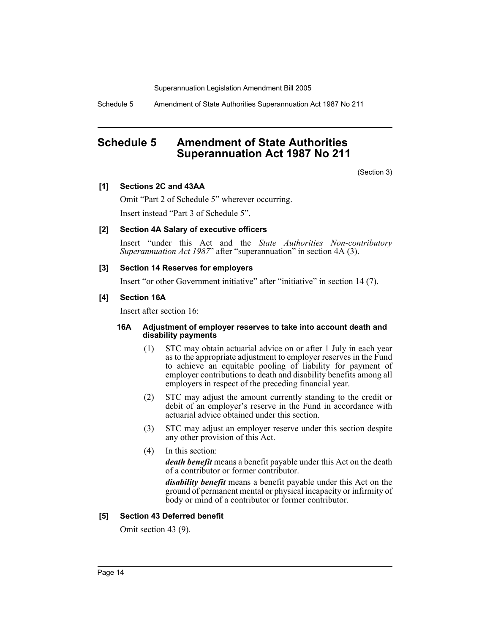Schedule 5 Amendment of State Authorities Superannuation Act 1987 No 211

# **Schedule 5 Amendment of State Authorities Superannuation Act 1987 No 211**

(Section 3)

## **[1] Sections 2C and 43AA**

Omit "Part 2 of Schedule 5" wherever occurring.

Insert instead "Part 3 of Schedule 5".

## **[2] Section 4A Salary of executive officers**

Insert "under this Act and the *State Authorities Non-contributory Superannuation Act 1987*" after "superannuation" in section 4A (3).

## **[3] Section 14 Reserves for employers**

Insert "or other Government initiative" after "initiative" in section 14 (7).

## **[4] Section 16A**

Insert after section 16:

#### **16A Adjustment of employer reserves to take into account death and disability payments**

- (1) STC may obtain actuarial advice on or after 1 July in each year as to the appropriate adjustment to employer reserves in the Fund to achieve an equitable pooling of liability for payment of employer contributions to death and disability benefits among all employers in respect of the preceding financial year.
- (2) STC may adjust the amount currently standing to the credit or debit of an employer's reserve in the Fund in accordance with actuarial advice obtained under this section.
- (3) STC may adjust an employer reserve under this section despite any other provision of this Act.
- (4) In this section:

*death benefit* means a benefit payable under this Act on the death of a contributor or former contributor.

*disability benefit* means a benefit payable under this Act on the ground of permanent mental or physical incapacity or infirmity of body or mind of a contributor or former contributor.

#### **[5] Section 43 Deferred benefit**

Omit section 43 (9).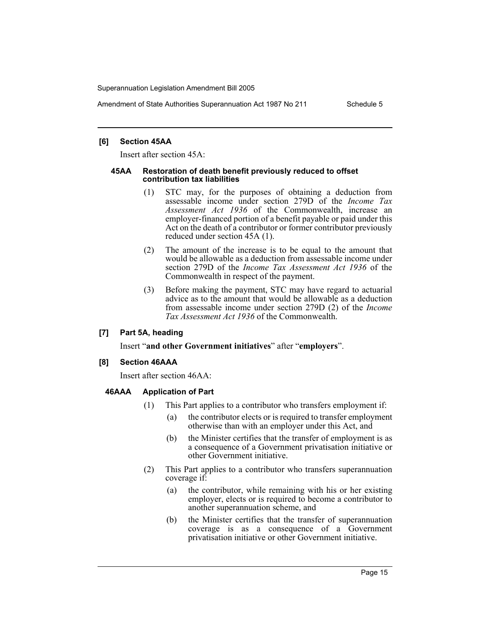Amendment of State Authorities Superannuation Act 1987 No 211 Schedule 5

#### **[6] Section 45AA**

Insert after section 45A:

#### **45AA Restoration of death benefit previously reduced to offset contribution tax liabilities**

- (1) STC may, for the purposes of obtaining a deduction from assessable income under section 279D of the *Income Tax Assessment Act 1936* of the Commonwealth, increase an employer-financed portion of a benefit payable or paid under this Act on the death of a contributor or former contributor previously reduced under section 45A (1).
- (2) The amount of the increase is to be equal to the amount that would be allowable as a deduction from assessable income under section 279D of the *Income Tax Assessment Act 1936* of the Commonwealth in respect of the payment.
- (3) Before making the payment, STC may have regard to actuarial advice as to the amount that would be allowable as a deduction from assessable income under section 279D (2) of the *Income Tax Assessment Act 1936* of the Commonwealth.

# **[7] Part 5A, heading**

Insert "**and other Government initiatives**" after "**employers**".

# **[8] Section 46AAA**

Insert after section 46AA:

# **46AAA Application of Part**

- (1) This Part applies to a contributor who transfers employment if:
	- (a) the contributor elects or is required to transfer employment otherwise than with an employer under this Act, and
	- (b) the Minister certifies that the transfer of employment is as a consequence of a Government privatisation initiative or other Government initiative.
- (2) This Part applies to a contributor who transfers superannuation coverage if:
	- (a) the contributor, while remaining with his or her existing employer, elects or is required to become a contributor to another superannuation scheme, and
	- (b) the Minister certifies that the transfer of superannuation coverage is as a consequence of a Government privatisation initiative or other Government initiative.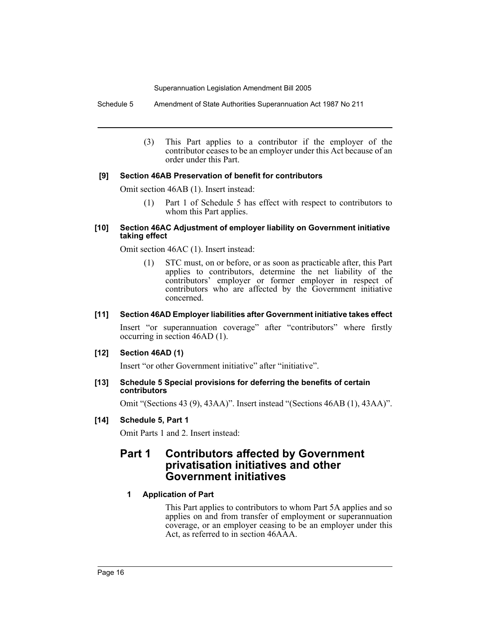Schedule 5 Amendment of State Authorities Superannuation Act 1987 No 211

(3) This Part applies to a contributor if the employer of the contributor ceases to be an employer under this Act because of an order under this Part.

# **[9] Section 46AB Preservation of benefit for contributors**

Omit section 46AB (1). Insert instead:

(1) Part 1 of Schedule 5 has effect with respect to contributors to whom this Part applies.

## **[10] Section 46AC Adjustment of employer liability on Government initiative taking effect**

Omit section 46AC (1). Insert instead:

(1) STC must, on or before, or as soon as practicable after, this Part applies to contributors, determine the net liability of the contributors' employer or former employer in respect of contributors who are affected by the Government initiative concerned.

# **[11] Section 46AD Employer liabilities after Government initiative takes effect**

Insert "or superannuation coverage" after "contributors" where firstly occurring in section 46AD (1).

# **[12] Section 46AD (1)**

Insert "or other Government initiative" after "initiative".

# **[13] Schedule 5 Special provisions for deferring the benefits of certain contributors**

Omit "(Sections 43 (9), 43AA)". Insert instead "(Sections 46AB (1), 43AA)".

# **[14] Schedule 5, Part 1**

Omit Parts 1 and 2. Insert instead:

# **Part 1 Contributors affected by Government privatisation initiatives and other Government initiatives**

# **1 Application of Part**

This Part applies to contributors to whom Part 5A applies and so applies on and from transfer of employment or superannuation coverage, or an employer ceasing to be an employer under this Act, as referred to in section 46AAA.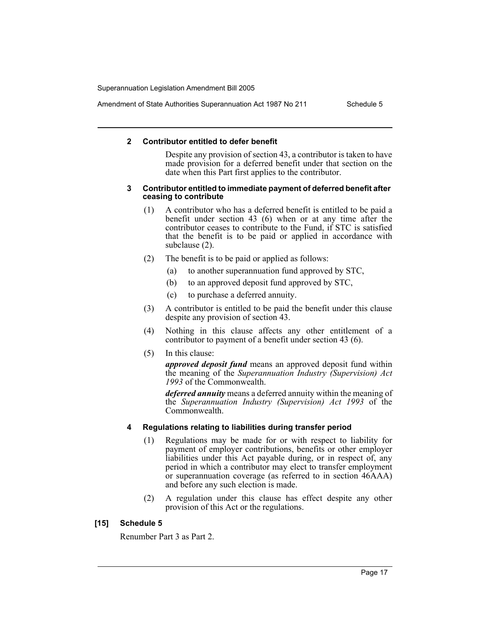Amendment of State Authorities Superannuation Act 1987 No 211 Schedule 5

#### **2 Contributor entitled to defer benefit**

Despite any provision of section 43, a contributor is taken to have made provision for a deferred benefit under that section on the date when this Part first applies to the contributor.

#### **3 Contributor entitled to immediate payment of deferred benefit after ceasing to contribute**

- (1) A contributor who has a deferred benefit is entitled to be paid a benefit under section 43 (6) when or at any time after the contributor ceases to contribute to the Fund, if STC is satisfied that the benefit is to be paid or applied in accordance with subclause (2).
- (2) The benefit is to be paid or applied as follows:
	- (a) to another superannuation fund approved by STC,
	- (b) to an approved deposit fund approved by STC,
	- (c) to purchase a deferred annuity.
- (3) A contributor is entitled to be paid the benefit under this clause despite any provision of section 43.
- (4) Nothing in this clause affects any other entitlement of a contributor to payment of a benefit under section 43 (6).
- (5) In this clause:

*approved deposit fund* means an approved deposit fund within the meaning of the *Superannuation Industry (Supervision) Act 1993* of the Commonwealth.

*deferred annuity* means a deferred annuity within the meaning of the *Superannuation Industry (Supervision) Act 1993* of the Commonwealth.

#### **4 Regulations relating to liabilities during transfer period**

- (1) Regulations may be made for or with respect to liability for payment of employer contributions, benefits or other employer liabilities under this Act payable during, or in respect of, any period in which a contributor may elect to transfer employment or superannuation coverage (as referred to in section 46AAA) and before any such election is made.
- (2) A regulation under this clause has effect despite any other provision of this Act or the regulations.

#### **[15] Schedule 5**

Renumber Part 3 as Part 2.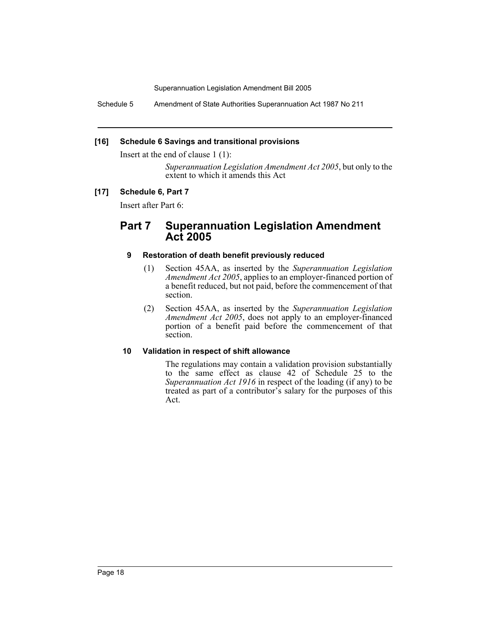Schedule 5 Amendment of State Authorities Superannuation Act 1987 No 211

## **[16] Schedule 6 Savings and transitional provisions**

Insert at the end of clause 1 (1):

*Superannuation Legislation Amendment Act 2005*, but only to the extent to which it amends this Act

# **[17] Schedule 6, Part 7**

Insert after Part 6:

# **Part 7 Superannuation Legislation Amendment Act 2005**

## **9 Restoration of death benefit previously reduced**

- (1) Section 45AA, as inserted by the *Superannuation Legislation Amendment Act 2005*, applies to an employer-financed portion of a benefit reduced, but not paid, before the commencement of that section.
- (2) Section 45AA, as inserted by the *Superannuation Legislation Amendment Act 2005*, does not apply to an employer-financed portion of a benefit paid before the commencement of that section.

#### **10 Validation in respect of shift allowance**

The regulations may contain a validation provision substantially to the same effect as clause 42 of Schedule 25 to the *Superannuation Act 1916* in respect of the loading (if any) to be treated as part of a contributor's salary for the purposes of this Act.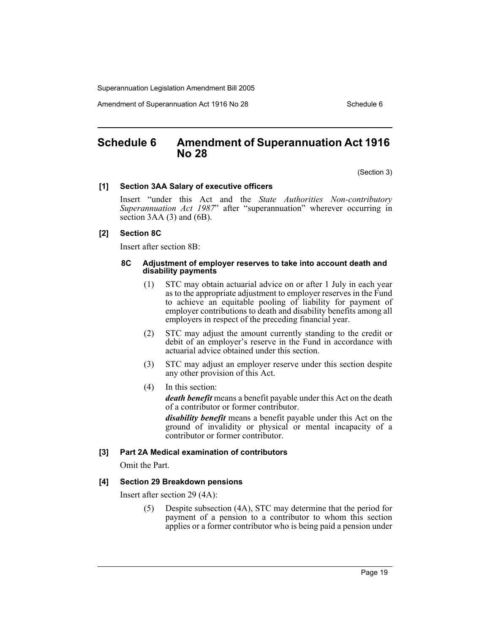Amendment of Superannuation Act 1916 No 28 Schedule 6

# **Schedule 6 Amendment of Superannuation Act 1916 No 28**

(Section 3)

#### **[1] Section 3AA Salary of executive officers**

Insert "under this Act and the *State Authorities Non-contributory Superannuation Act 1987*" after "superannuation" wherever occurring in section  $3AA(3)$  and  $(6B)$ .

#### **[2] Section 8C**

Insert after section 8B:

#### **8C Adjustment of employer reserves to take into account death and disability payments**

- (1) STC may obtain actuarial advice on or after 1 July in each year as to the appropriate adjustment to employer reserves in the Fund to achieve an equitable pooling of liability for payment of employer contributions to death and disability benefits among all employers in respect of the preceding financial year.
- (2) STC may adjust the amount currently standing to the credit or debit of an employer's reserve in the Fund in accordance with actuarial advice obtained under this section.
- (3) STC may adjust an employer reserve under this section despite any other provision of this Act.
- (4) In this section:

*death benefit* means a benefit payable under this Act on the death of a contributor or former contributor.

*disability benefit* means a benefit payable under this Act on the ground of invalidity or physical or mental incapacity of a contributor or former contributor.

#### **[3] Part 2A Medical examination of contributors**

Omit the Part.

#### **[4] Section 29 Breakdown pensions**

Insert after section 29 (4A):

(5) Despite subsection (4A), STC may determine that the period for payment of a pension to a contributor to whom this section applies or a former contributor who is being paid a pension under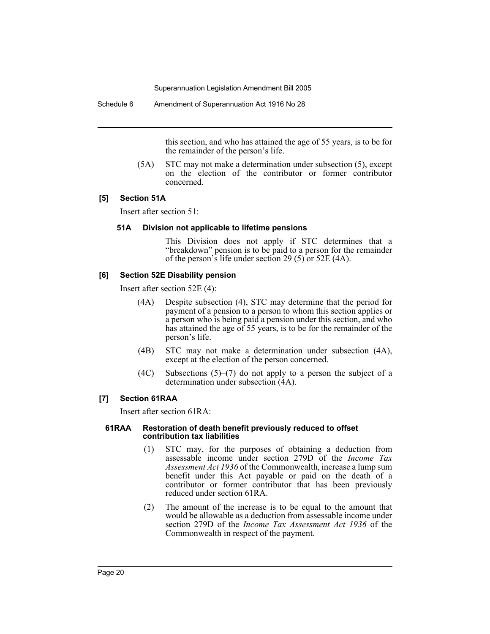Schedule 6 Amendment of Superannuation Act 1916 No 28

this section, and who has attained the age of 55 years, is to be for the remainder of the person's life.

(5A) STC may not make a determination under subsection (5), except on the election of the contributor or former contributor concerned.

## **[5] Section 51A**

Insert after section 51:

## **51A Division not applicable to lifetime pensions**

This Division does not apply if STC determines that a "breakdown" pension is to be paid to a person for the remainder of the person's life under section 29 (5) or 52E (4A).

## **[6] Section 52E Disability pension**

Insert after section 52E (4):

- (4A) Despite subsection (4), STC may determine that the period for payment of a pension to a person to whom this section applies or a person who is being paid a pension under this section, and who has attained the age of 55 years, is to be for the remainder of the person's life.
- (4B) STC may not make a determination under subsection (4A), except at the election of the person concerned.
- (4C) Subsections (5)–(7) do not apply to a person the subject of a determination under subsection (4A).

# **[7] Section 61RAA**

Insert after section 61RA:

#### **61RAA Restoration of death benefit previously reduced to offset contribution tax liabilities**

- (1) STC may, for the purposes of obtaining a deduction from assessable income under section 279D of the *Income Tax Assessment Act 1936* of the Commonwealth, increase a lump sum benefit under this Act payable or paid on the death of a contributor or former contributor that has been previously reduced under section 61RA.
- (2) The amount of the increase is to be equal to the amount that would be allowable as a deduction from assessable income under section 279D of the *Income Tax Assessment Act 1936* of the Commonwealth in respect of the payment.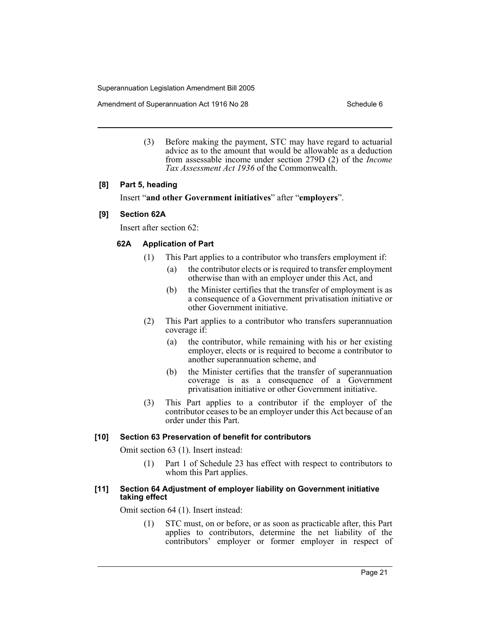Amendment of Superannuation Act 1916 No 28 Schedule 6

(3) Before making the payment, STC may have regard to actuarial advice as to the amount that would be allowable as a deduction from assessable income under section 279D (2) of the *Income Tax Assessment Act 1936* of the Commonwealth.

#### **[8] Part 5, heading**

Insert "**and other Government initiatives**" after "**employers**".

#### **[9] Section 62A**

Insert after section 62:

## **62A Application of Part**

- (1) This Part applies to a contributor who transfers employment if:
	- (a) the contributor elects or is required to transfer employment otherwise than with an employer under this Act, and
	- (b) the Minister certifies that the transfer of employment is as a consequence of a Government privatisation initiative or other Government initiative.
- (2) This Part applies to a contributor who transfers superannuation coverage if:
	- (a) the contributor, while remaining with his or her existing employer, elects or is required to become a contributor to another superannuation scheme, and
	- (b) the Minister certifies that the transfer of superannuation coverage is as a consequence of a Government privatisation initiative or other Government initiative.
- (3) This Part applies to a contributor if the employer of the contributor ceases to be an employer under this Act because of an order under this Part.

#### **[10] Section 63 Preservation of benefit for contributors**

Omit section 63 (1). Insert instead:

(1) Part 1 of Schedule 23 has effect with respect to contributors to whom this Part applies.

#### **[11] Section 64 Adjustment of employer liability on Government initiative taking effect**

Omit section 64 (1). Insert instead:

(1) STC must, on or before, or as soon as practicable after, this Part applies to contributors, determine the net liability of the contributors' employer or former employer in respect of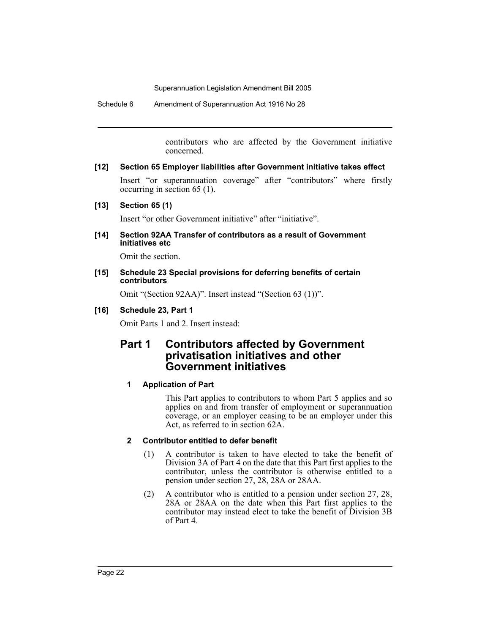Schedule 6 Amendment of Superannuation Act 1916 No 28

contributors who are affected by the Government initiative concerned.

# **[12] Section 65 Employer liabilities after Government initiative takes effect**

Insert "or superannuation coverage" after "contributors" where firstly occurring in section 65 (1).

## **[13] Section 65 (1)**

Insert "or other Government initiative" after "initiative".

**[14] Section 92AA Transfer of contributors as a result of Government initiatives etc**

Omit the section.

#### **[15] Schedule 23 Special provisions for deferring benefits of certain contributors**

Omit "(Section 92AA)". Insert instead "(Section 63 (1))".

# **[16] Schedule 23, Part 1**

Omit Parts 1 and 2. Insert instead:

# **Part 1 Contributors affected by Government privatisation initiatives and other Government initiatives**

# **1 Application of Part**

This Part applies to contributors to whom Part 5 applies and so applies on and from transfer of employment or superannuation coverage, or an employer ceasing to be an employer under this Act, as referred to in section 62A.

# **2 Contributor entitled to defer benefit**

- (1) A contributor is taken to have elected to take the benefit of Division 3A of Part 4 on the date that this Part first applies to the contributor, unless the contributor is otherwise entitled to a pension under section 27, 28, 28A or 28AA.
- (2) A contributor who is entitled to a pension under section 27, 28, 28A or 28AA on the date when this Part first applies to the contributor may instead elect to take the benefit of Division 3B of Part 4.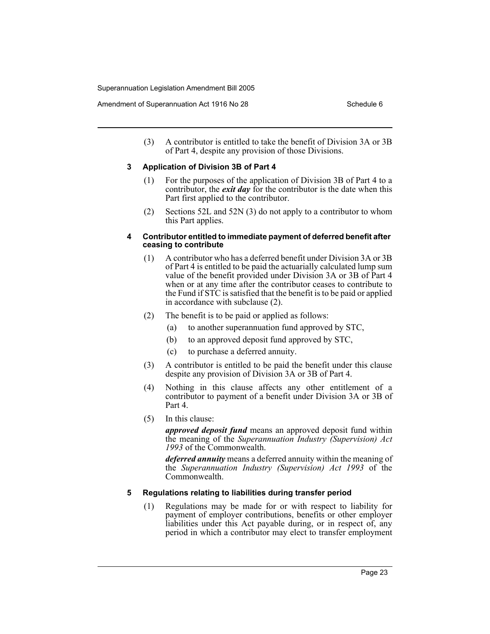(3) A contributor is entitled to take the benefit of Division 3A or 3B of Part 4, despite any provision of those Divisions.

# **3 Application of Division 3B of Part 4**

- (1) For the purposes of the application of Division 3B of Part 4 to a contributor, the *exit day* for the contributor is the date when this Part first applied to the contributor.
- (2) Sections 52L and 52N (3) do not apply to a contributor to whom this Part applies.

#### **4 Contributor entitled to immediate payment of deferred benefit after ceasing to contribute**

- (1) A contributor who has a deferred benefit under Division 3A or 3B of Part 4 is entitled to be paid the actuarially calculated lump sum value of the benefit provided under Division 3A or 3B of Part 4 when or at any time after the contributor ceases to contribute to the Fund if STC is satisfied that the benefit is to be paid or applied in accordance with subclause (2).
- (2) The benefit is to be paid or applied as follows:
	- (a) to another superannuation fund approved by STC,
	- (b) to an approved deposit fund approved by STC,
	- (c) to purchase a deferred annuity.
- (3) A contributor is entitled to be paid the benefit under this clause despite any provision of Division 3A or 3B of Part 4.
- (4) Nothing in this clause affects any other entitlement of a contributor to payment of a benefit under Division 3A or 3B of Part 4.
- (5) In this clause:

*approved deposit fund* means an approved deposit fund within the meaning of the *Superannuation Industry (Supervision) Act 1993* of the Commonwealth.

*deferred annuity* means a deferred annuity within the meaning of the *Superannuation Industry (Supervision) Act 1993* of the Commonwealth.

# **5 Regulations relating to liabilities during transfer period**

(1) Regulations may be made for or with respect to liability for payment of employer contributions, benefits or other employer liabilities under this Act payable during, or in respect of, any period in which a contributor may elect to transfer employment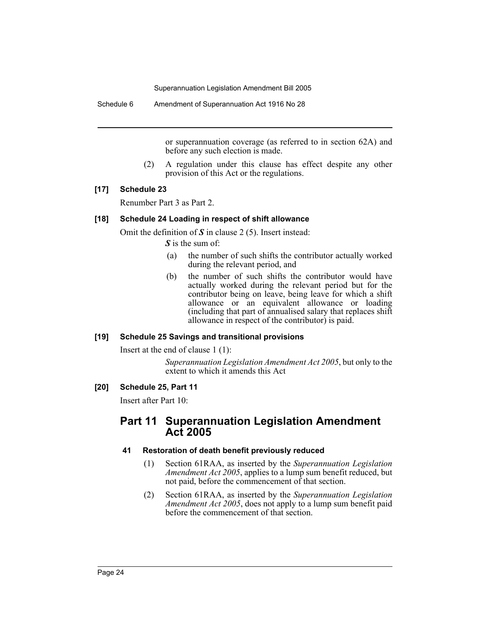Schedule 6 Amendment of Superannuation Act 1916 No 28

or superannuation coverage (as referred to in section 62A) and before any such election is made.

(2) A regulation under this clause has effect despite any other provision of this Act or the regulations.

## **[17] Schedule 23**

Renumber Part 3 as Part 2.

#### **[18] Schedule 24 Loading in respect of shift allowance**

Omit the definition of *S* in clause 2 (5). Insert instead:

*S* is the sum of:

- (a) the number of such shifts the contributor actually worked during the relevant period, and
- (b) the number of such shifts the contributor would have actually worked during the relevant period but for the contributor being on leave, being leave for which a shift allowance or an equivalent allowance or loading (including that part of annualised salary that replaces shift allowance in respect of the contributor) is paid.

#### **[19] Schedule 25 Savings and transitional provisions**

Insert at the end of clause 1 (1):

*Superannuation Legislation Amendment Act 2005*, but only to the extent to which it amends this Act

## **[20] Schedule 25, Part 11**

Insert after Part 10:

# **Part 11 Superannuation Legislation Amendment Act 2005**

#### **41 Restoration of death benefit previously reduced**

- (1) Section 61RAA, as inserted by the *Superannuation Legislation Amendment Act 2005*, applies to a lump sum benefit reduced, but not paid, before the commencement of that section.
- (2) Section 61RAA, as inserted by the *Superannuation Legislation Amendment Act 2005*, does not apply to a lump sum benefit paid before the commencement of that section.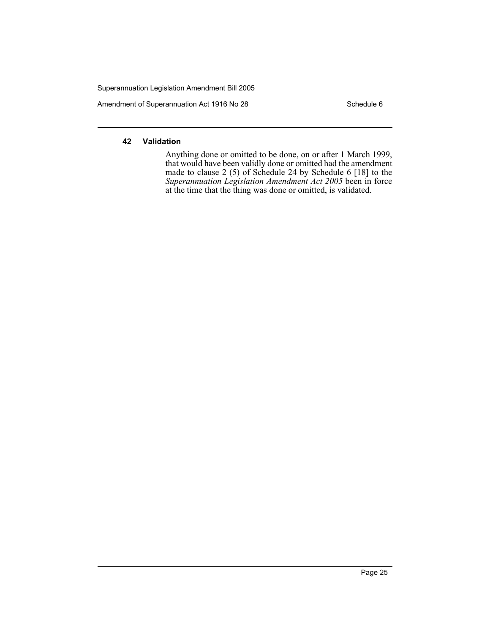Amendment of Superannuation Act 1916 No 28 Schedule 6

# **42 Validation**

Anything done or omitted to be done, on or after 1 March 1999, that would have been validly done or omitted had the amendment made to clause 2 (5) of Schedule 24 by Schedule 6 [18] to the *Superannuation Legislation Amendment Act 2005* been in force at the time that the thing was done or omitted, is validated.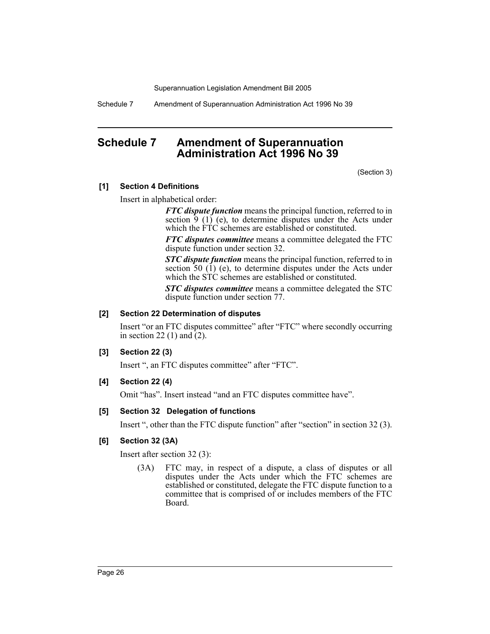Schedule 7 Amendment of Superannuation Administration Act 1996 No 39

# **Schedule 7 Amendment of Superannuation Administration Act 1996 No 39**

(Section 3)

#### **[1] Section 4 Definitions**

Insert in alphabetical order:

*FTC dispute function* means the principal function, referred to in section  $\hat{9}$  (1) (e), to determine disputes under the Acts under which the FTC schemes are established or constituted.

*FTC disputes committee* means a committee delegated the FTC dispute function under section 32.

*STC dispute function* means the principal function, referred to in section 50 (1) (e), to determine disputes under the Acts under which the STC schemes are established or constituted.

*STC disputes committee* means a committee delegated the STC dispute function under section 77.

#### **[2] Section 22 Determination of disputes**

Insert "or an FTC disputes committee" after "FTC" where secondly occurring in section 22 (1) and (2).

#### **[3] Section 22 (3)**

Insert ", an FTC disputes committee" after "FTC".

#### **[4] Section 22 (4)**

Omit "has". Insert instead "and an FTC disputes committee have".

#### **[5] Section 32 Delegation of functions**

Insert ", other than the FTC dispute function" after "section" in section 32 (3).

## **[6] Section 32 (3A)**

Insert after section 32 (3):

(3A) FTC may, in respect of a dispute, a class of disputes or all disputes under the Acts under which the FTC schemes are established or constituted, delegate the FTC dispute function to a committee that is comprised of or includes members of the FTC Board.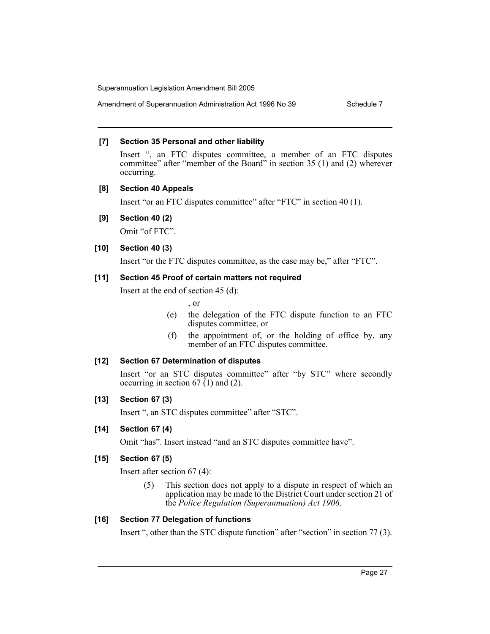Amendment of Superannuation Administration Act 1996 No 39 Schedule 7

# **[7] Section 35 Personal and other liability**

Insert ", an FTC disputes committee, a member of an FTC disputes committee" after "member of the Board" in section 35 (1) and (2) wherever occurring.

# **[8] Section 40 Appeals**

Insert "or an FTC disputes committee" after "FTC" in section 40 (1).

# **[9] Section 40 (2)**

Omit "of FTC".

# **[10] Section 40 (3)**

Insert "or the FTC disputes committee, as the case may be," after "FTC".

# **[11] Section 45 Proof of certain matters not required**

Insert at the end of section 45 (d):

, or

- (e) the delegation of the FTC dispute function to an FTC disputes committee, or
- (f) the appointment of, or the holding of office by, any member of an FTC disputes committee.

# **[12] Section 67 Determination of disputes**

Insert "or an STC disputes committee" after "by STC" where secondly occurring in section 67  $(1)$  and  $(2)$ .

# **[13] Section 67 (3)**

Insert ", an STC disputes committee" after "STC".

# **[14] Section 67 (4)**

Omit "has". Insert instead "and an STC disputes committee have".

# **[15] Section 67 (5)**

Insert after section 67 (4):

(5) This section does not apply to a dispute in respect of which an application may be made to the District Court under section 21 of the *Police Regulation (Superannuation) Act 1906*.

# **[16] Section 77 Delegation of functions**

Insert ", other than the STC dispute function" after "section" in section 77 (3).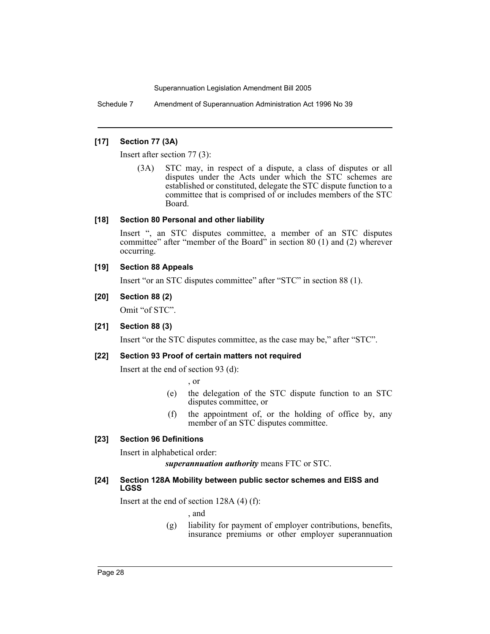Schedule 7 Amendment of Superannuation Administration Act 1996 No 39

## **[17] Section 77 (3A)**

Insert after section 77 (3):

(3A) STC may, in respect of a dispute, a class of disputes or all disputes under the Acts under which the STC schemes are established or constituted, delegate the STC dispute function to a committee that is comprised of or includes members of the STC Board.

## **[18] Section 80 Personal and other liability**

Insert ", an STC disputes committee, a member of an STC disputes committee" after "member of the Board" in section 80 (1) and (2) wherever occurring.

## **[19] Section 88 Appeals**

Insert "or an STC disputes committee" after "STC" in section 88 (1).

# **[20] Section 88 (2)**

Omit "of STC".

# **[21] Section 88 (3)**

Insert "or the STC disputes committee, as the case may be," after "STC".

#### **[22] Section 93 Proof of certain matters not required**

Insert at the end of section 93 (d):

, or

- (e) the delegation of the STC dispute function to an STC disputes committee, or
- (f) the appointment of, or the holding of office by, any member of an STC disputes committee.

# **[23] Section 96 Definitions**

Insert in alphabetical order:

*superannuation authority* means FTC or STC.

## **[24] Section 128A Mobility between public sector schemes and EISS and LGSS**

Insert at the end of section 128A (4) (f):

, and

(g) liability for payment of employer contributions, benefits, insurance premiums or other employer superannuation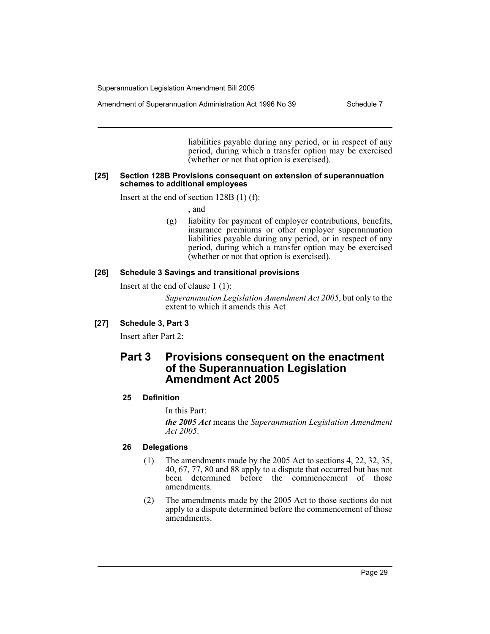Amendment of Superannuation Administration Act 1996 No 39 Schedule 7

liabilities payable during any period, or in respect of any period, during which a transfer option may be exercised (whether or not that option is exercised).

#### **[25] Section 128B Provisions consequent on extension of superannuation schemes to additional employees**

Insert at the end of section 128B (1) (f):

, and

(g) liability for payment of employer contributions, benefits, insurance premiums or other employer superannuation liabilities payable during any period, or in respect of any period, during which a transfer option may be exercised (whether or not that option is exercised).

# **[26] Schedule 3 Savings and transitional provisions**

Insert at the end of clause 1 (1):

*Superannuation Legislation Amendment Act 2005*, but only to the extent to which it amends this Act

# **[27] Schedule 3, Part 3**

Insert after Part 2:

# **Part 3 Provisions consequent on the enactment of the Superannuation Legislation Amendment Act 2005**

# **25 Definition**

In this Part:

*the 2005 Act* means the *Superannuation Legislation Amendment Act 2005*.

# **26 Delegations**

- (1) The amendments made by the 2005 Act to sections 4, 22, 32, 35, 40, 67, 77, 80 and 88 apply to a dispute that occurred but has not been determined before the commencement of those amendments.
- (2) The amendments made by the 2005 Act to those sections do not apply to a dispute determined before the commencement of those amendments.